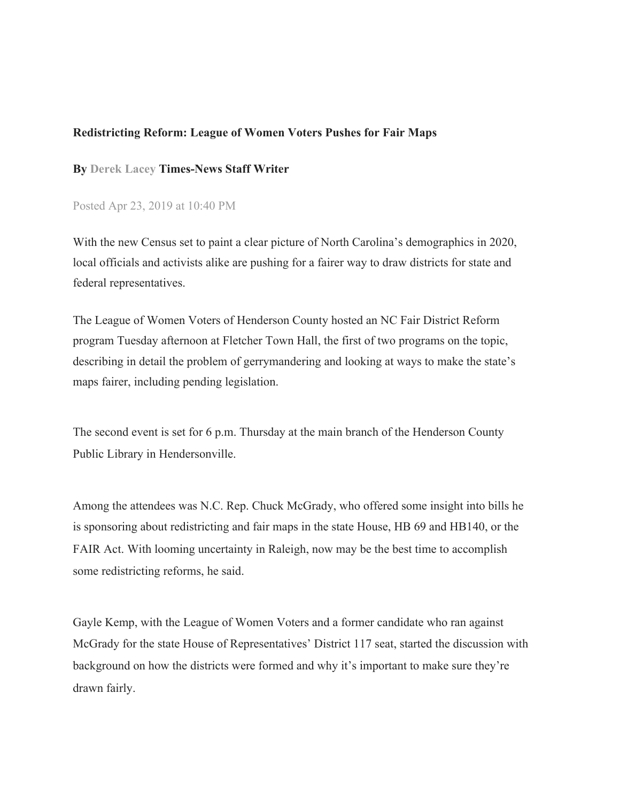## **Redistricting Reform: League of Women Voters Pushes for Fair Maps**

## **By Derek Lacey Times-News Staff Writer**

## Posted Apr 23, 2019 at 10:40 PM

With the new Census set to paint a clear picture of North Carolina's demographics in 2020, local officials and activists alike are pushing for a fairer way to draw districts for state and federal representatives.

The League of Women Voters of Henderson County hosted an NC Fair District Reform program Tuesday afternoon at Fletcher Town Hall, the first of two programs on the topic, describing in detail the problem of gerrymandering and looking at ways to make the state's maps fairer, including pending legislation.

The second event is set for 6 p.m. Thursday at the main branch of the Henderson County Public Library in Hendersonville.

Among the attendees was N.C. Rep. Chuck McGrady, who offered some insight into bills he is sponsoring about redistricting and fair maps in the state House, HB 69 and HB140, or the FAIR Act. With looming uncertainty in Raleigh, now may be the best time to accomplish some redistricting reforms, he said.

Gayle Kemp, with the League of Women Voters and a former candidate who ran against McGrady for the state House of Representatives' District 117 seat, started the discussion with background on how the districts were formed and why it's important to make sure they're drawn fairly.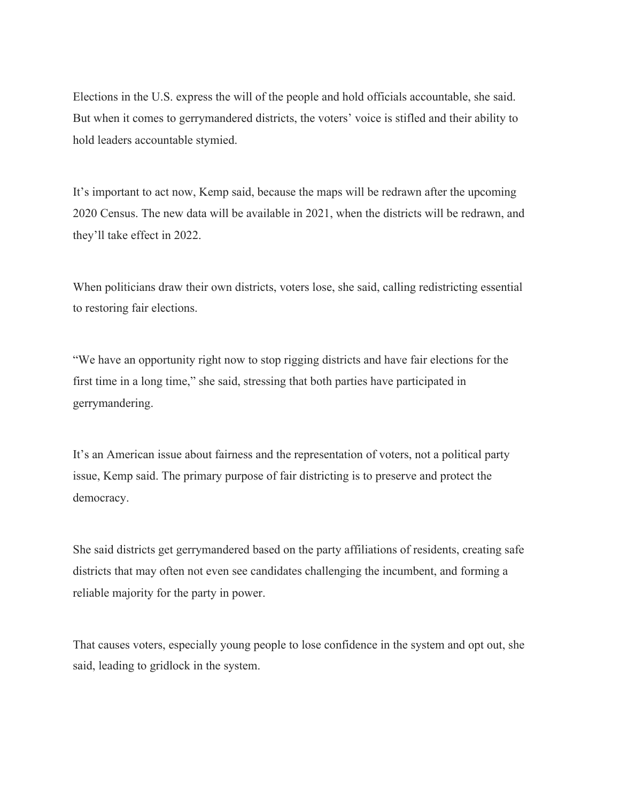Elections in the U.S. express the will of the people and hold officials accountable, she said. But when it comes to gerrymandered districts, the voters' voice is stifled and their ability to hold leaders accountable stymied.

It's important to act now, Kemp said, because the maps will be redrawn after the upcoming 2020 Census. The new data will be available in 2021, when the districts will be redrawn, and they'll take effect in 2022.

When politicians draw their own districts, voters lose, she said, calling redistricting essential to restoring fair elections.

"We have an opportunity right now to stop rigging districts and have fair elections for the first time in a long time," she said, stressing that both parties have participated in gerrymandering.

It's an American issue about fairness and the representation of voters, not a political party issue, Kemp said. The primary purpose of fair districting is to preserve and protect the democracy.

She said districts get gerrymandered based on the party affiliations of residents, creating safe districts that may often not even see candidates challenging the incumbent, and forming a reliable majority for the party in power.

That causes voters, especially young people to lose confidence in the system and opt out, she said, leading to gridlock in the system.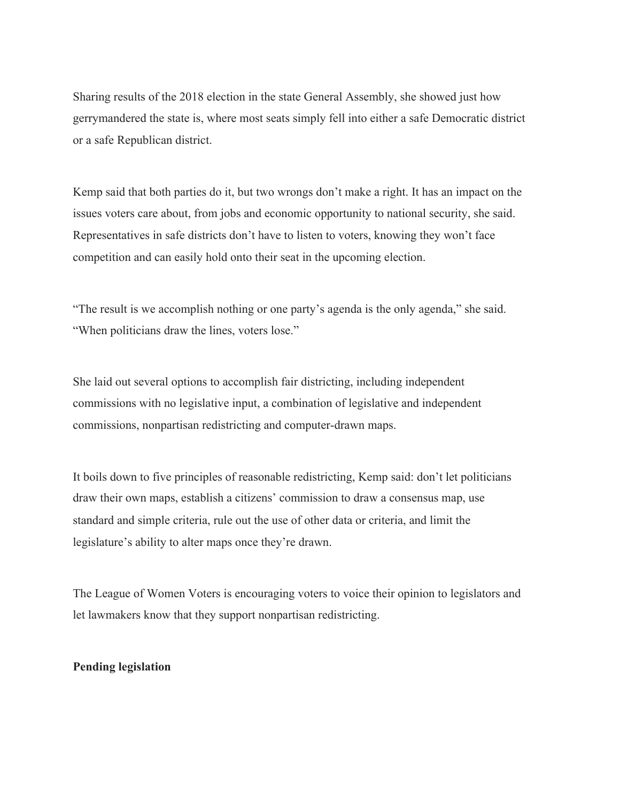Sharing results of the 2018 election in the state General Assembly, she showed just how gerrymandered the state is, where most seats simply fell into either a safe Democratic district or a safe Republican district.

Kemp said that both parties do it, but two wrongs don't make a right. It has an impact on the issues voters care about, from jobs and economic opportunity to national security, she said. Representatives in safe districts don't have to listen to voters, knowing they won't face competition and can easily hold onto their seat in the upcoming election.

"The result is we accomplish nothing or one party's agenda is the only agenda," she said. "When politicians draw the lines, voters lose."

She laid out several options to accomplish fair districting, including independent commissions with no legislative input, a combination of legislative and independent commissions, nonpartisan redistricting and computer-drawn maps.

It boils down to five principles of reasonable redistricting, Kemp said: don't let politicians draw their own maps, establish a citizens' commission to draw a consensus map, use standard and simple criteria, rule out the use of other data or criteria, and limit the legislature's ability to alter maps once they're drawn.

The League of Women Voters is encouraging voters to voice their opinion to legislators and let lawmakers know that they support nonpartisan redistricting.

## **Pending legislation**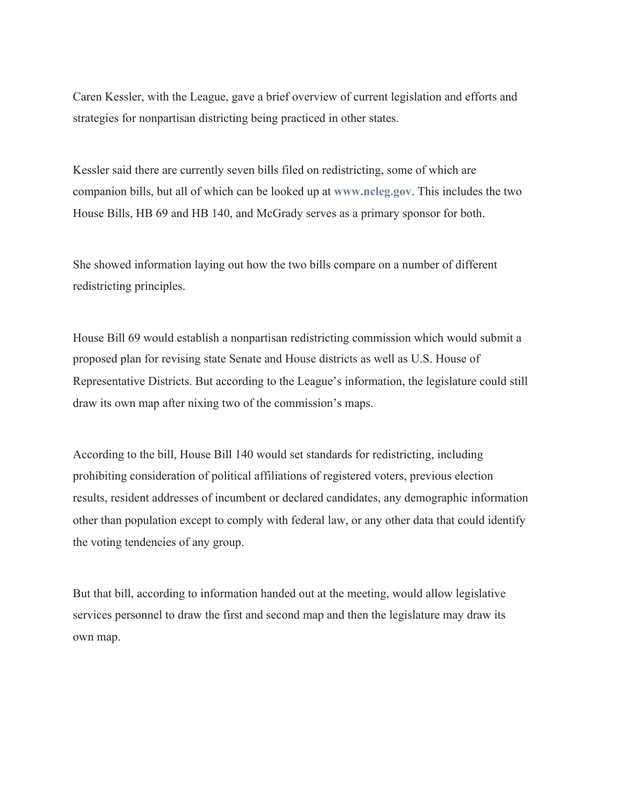Caren Kessler, with the League, gave a brief overview of current legislation and efforts and strategies for nonpartisan districting being practiced in other states.

Kessler said there are currently seven bills filed on redistricting, some of which are companion bills, but all of which can be looked up at **[www.ncleg.gov](http://www.ncleg.gov/)**. This includes the two House Bills, HB 69 and HB 140, and McGrady serves as a primary sponsor for both.

She showed information laying out how the two bills compare on a number of different redistricting principles.

House Bill 69 would establish a nonpartisan redistricting commission which would submit a proposed plan for revising state Senate and House districts as well as U.S. House of Representative Districts. But according to the League's information, the legislature could still draw its own map after nixing two of the commission's maps.

According to the bill, House Bill 140 would set standards for redistricting, including prohibiting consideration of political affiliations of registered voters, previous election results, resident addresses of incumbent or declared candidates, any demographic information other than population except to comply with federal law, or any other data that could identify the voting tendencies of any group.

But that bill, according to information handed out at the meeting, would allow legislative services personnel to draw the first and second map and then the legislature may draw its own map.